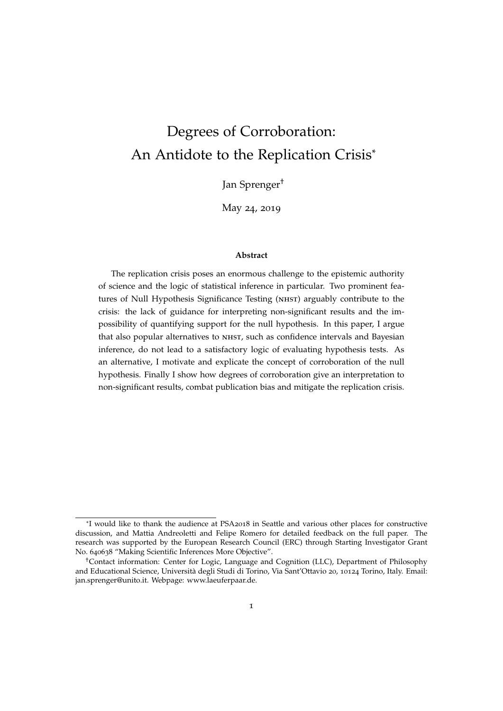# Degrees of Corroboration: An Antidote to the Replication Crisis\*

Jan Sprenger†

May 24, 2019

#### **Abstract**

The replication crisis poses an enormous challenge to the epistemic authority of science and the logic of statistical inference in particular. Two prominent features of Null Hypothesis Significance Testing (NHST) arguably contribute to the crisis: the lack of guidance for interpreting non-significant results and the impossibility of quantifying support for the null hypothesis. In this paper, I argue that also popular alternatives to NHST, such as confidence intervals and Bayesian inference, do not lead to a satisfactory logic of evaluating hypothesis tests. As an alternative, I motivate and explicate the concept of corroboration of the null hypothesis. Finally I show how degrees of corroboration give an interpretation to non-significant results, combat publication bias and mitigate the replication crisis.

<sup>\*</sup>I would like to thank the audience at PSA2018 in Seattle and various other places for constructive discussion, and Mattia Andreoletti and Felipe Romero for detailed feedback on the full paper. The research was supported by the European Research Council (ERC) through Starting Investigator Grant No. 640638 "Making Scientific Inferences More Objective".

<sup>†</sup>Contact information: Center for Logic, Language and Cognition (LLC), Department of Philosophy and Educational Science, Università degli Studi di Torino, Via Sant'Ottavio 20, 10124 Torino, Italy. Email: jan.sprenger@unito.it. Webpage: www.laeuferpaar.de.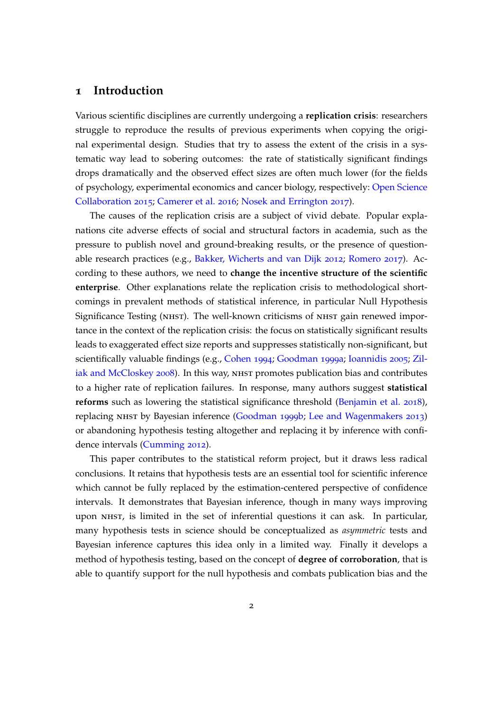### **1 Introduction**

Various scientific disciplines are currently undergoing a **replication crisis**: researchers struggle to reproduce the results of previous experiments when copying the original experimental design. Studies that try to assess the extent of the crisis in a systematic way lead to sobering outcomes: the rate of statistically significant findings drops dramatically and the observed effect sizes are often much lower (for the fields of psychology, experimental economics and cancer biology, respectively: [Open Science](#page-13-0) [Collaboration](#page-13-0) [2015](#page-13-0); [Camerer et al.](#page-12-0) [2016](#page-12-0); [Nosek and Errington](#page-12-1) [2017](#page-12-1)).

The causes of the replication crisis are a subject of vivid debate. Popular explanations cite adverse effects of social and structural factors in academia, such as the pressure to publish novel and ground-breaking results, or the presence of questionable research practices (e.g., [Bakker, Wicherts and van Dijk](#page-12-2) [2012](#page-12-2); [Romero](#page-13-1) [2017](#page-13-1)). According to these authors, we need to **change the incentive structure of the scientific enterprise**. Other explanations relate the replication crisis to methodological shortcomings in prevalent methods of statistical inference, in particular Null Hypothesis Significance Testing (NHST). The well-known criticisms of NHST gain renewed importance in the context of the replication crisis: the focus on statistically significant results leads to exaggerated effect size reports and suppresses statistically non-significant, but scientifically valuable findings (e.g., [Cohen](#page-12-3) [1994](#page-12-3); [Goodman](#page-12-4) [1999](#page-12-4)a; [Ioannidis](#page-12-5) [2005](#page-12-5); [Zil](#page-13-2)[iak and McCloskey](#page-13-2) [2008](#page-13-2)). In this way, NHST promotes publication bias and contributes to a higher rate of replication failures. In response, many authors suggest **statistical reforms** such as lowering the statistical significance threshold [\(Benjamin et al.](#page-12-6) [2018](#page-12-6)), replacing NHST by Bayesian inference [\(Goodman](#page-12-7) [1999](#page-12-7)b; [Lee and Wagenmakers](#page-12-8) [2013](#page-12-8)) or abandoning hypothesis testing altogether and replacing it by inference with confidence intervals [\(Cumming](#page-12-9) [2012](#page-12-9)).

This paper contributes to the statistical reform project, but it draws less radical conclusions. It retains that hypothesis tests are an essential tool for scientific inference which cannot be fully replaced by the estimation-centered perspective of confidence intervals. It demonstrates that Bayesian inference, though in many ways improving upon nhst, is limited in the set of inferential questions it can ask. In particular, many hypothesis tests in science should be conceptualized as *asymmetric* tests and Bayesian inference captures this idea only in a limited way. Finally it develops a method of hypothesis testing, based on the concept of **degree of corroboration**, that is able to quantify support for the null hypothesis and combats publication bias and the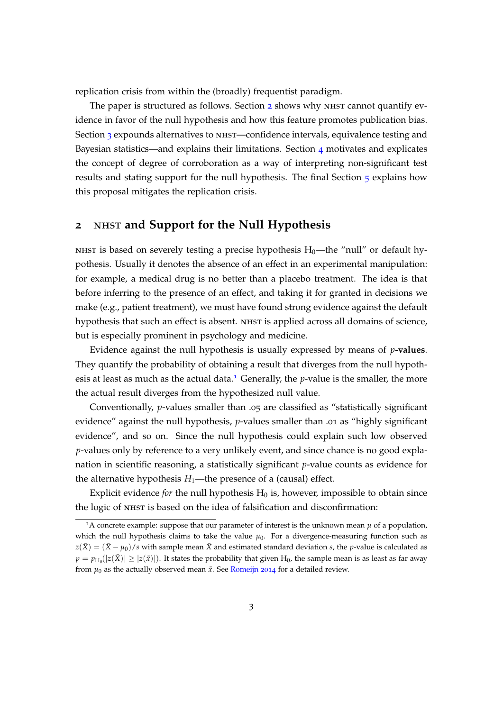replication crisis from within the (broadly) frequentist paradigm.

The paper is structured as follows. Section [2](#page-2-0) shows why NHST cannot quantify evidence in favor of the null hypothesis and how this feature promotes publication bias. Section [3](#page-4-0) expounds alternatives to NHST—confidence intervals, equivalence testing and Bayesian statistics—and explains their limitations. Section  $\mu$  motivates and explicates the concept of degree of corroboration as a way of interpreting non-significant test results and stating support for the null hypothesis. The final Section [5](#page-9-0) explains how this proposal mitigates the replication crisis.

### <span id="page-2-0"></span>**2** nhst **and Support for the Null Hypothesis**

NHST is based on severely testing a precise hypothesis  $H_0$ —the "null" or default hypothesis. Usually it denotes the absence of an effect in an experimental manipulation: for example, a medical drug is no better than a placebo treatment. The idea is that before inferring to the presence of an effect, and taking it for granted in decisions we make (e.g., patient treatment), we must have found strong evidence against the default hypothesis that such an effect is absent. NHST is applied across all domains of science, but is especially prominent in psychology and medicine.

Evidence against the null hypothesis is usually expressed by means of *p***-values**. They quantify the probability of obtaining a result that diverges from the null hypoth-esis at least as much as the actual data.<sup>[1](#page-2-1)</sup> Generally, the  $p$ -value is the smaller, the more the actual result diverges from the hypothesized null value.

Conventionally, *p*-values smaller than .05 are classified as "statistically significant evidence" against the null hypothesis, *p*-values smaller than .01 as "highly significant evidence", and so on. Since the null hypothesis could explain such low observed *p*-values only by reference to a very unlikely event, and since chance is no good explanation in scientific reasoning, a statistically significant *p*-value counts as evidence for the alternative hypothesis  $H_1$ —the presence of a (causal) effect.

Explicit evidence *for* the null hypothesis  $H_0$  is, however, impossible to obtain since the logic of NHST is based on the idea of falsification and disconfirmation:

<span id="page-2-1"></span><sup>&</sup>lt;sup>1</sup>A concrete example: suppose that our parameter of interest is the unknown mean  $\mu$  of a population, which the null hypothesis claims to take the value  $\mu_0$ . For a divergence-measuring function such as  $z(\bar{X}) = (\bar{X} - \mu_0)/s$  with sample mean  $\bar{X}$  and estimated standard deviation *s*, the *p*-value is calculated as  $p = p_{H_0}(|z(\bar{X})| \ge |z(\bar{x})|)$ . It states the probability that given  $H_0$ , the sample mean is as least as far away from  $\mu_0$  as the actually observed mean  $\bar{x}$ . See [Romeijn](#page-13-3) [2014](#page-13-3) for a detailed review.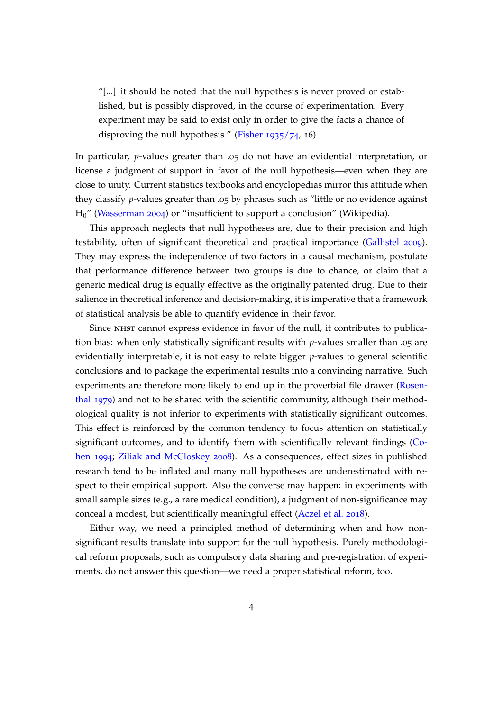"[...] it should be noted that the null hypothesis is never proved or established, but is possibly disproved, in the course of experimentation. Every experiment may be said to exist only in order to give the facts a chance of disproving the null hypothesis." [\(Fisher](#page-12-10) [1935](#page-12-10)/74, 16)

In particular, *p*-values greater than .05 do not have an evidential interpretation, or license a judgment of support in favor of the null hypothesis—even when they are close to unity. Current statistics textbooks and encyclopedias mirror this attitude when they classify *p*-values greater than .05 by phrases such as "little or no evidence against H0" [\(Wasserman](#page-13-4) [2004](#page-13-4)) or "insufficient to support a conclusion" (Wikipedia).

This approach neglects that null hypotheses are, due to their precision and high testability, often of significant theoretical and practical importance [\(Gallistel](#page-12-11) [2009](#page-12-11)). They may express the independence of two factors in a causal mechanism, postulate that performance difference between two groups is due to chance, or claim that a generic medical drug is equally effective as the originally patented drug. Due to their salience in theoretical inference and decision-making, it is imperative that a framework of statistical analysis be able to quantify evidence in their favor.

Since NHST cannot express evidence in favor of the null, it contributes to publication bias: when only statistically significant results with *p*-values smaller than .05 are evidentially interpretable, it is not easy to relate bigger *p*-values to general scientific conclusions and to package the experimental results into a convincing narrative. Such experiments are therefore more likely to end up in the proverbial file drawer [\(Rosen](#page-13-5)[thal](#page-13-5) [1979](#page-13-5)) and not to be shared with the scientific community, although their methodological quality is not inferior to experiments with statistically significant outcomes. This effect is reinforced by the common tendency to focus attention on statistically significant outcomes, and to identify them with scientifically relevant findings [\(Co](#page-12-3)[hen](#page-12-3) [1994](#page-12-3); [Ziliak and McCloskey](#page-13-2) [2008](#page-13-2)). As a consequences, effect sizes in published research tend to be inflated and many null hypotheses are underestimated with respect to their empirical support. Also the converse may happen: in experiments with small sample sizes (e.g., a rare medical condition), a judgment of non-significance may conceal a modest, but scientifically meaningful effect [\(Aczel et al.](#page-12-12) [2018](#page-12-12)).

Either way, we need a principled method of determining when and how nonsignificant results translate into support for the null hypothesis. Purely methodological reform proposals, such as compulsory data sharing and pre-registration of experiments, do not answer this question—we need a proper statistical reform, too.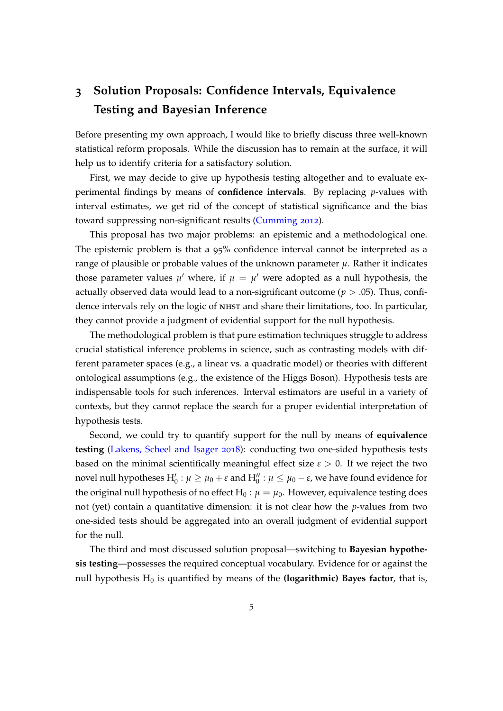## <span id="page-4-0"></span>**3 Solution Proposals: Confidence Intervals, Equivalence Testing and Bayesian Inference**

Before presenting my own approach, I would like to briefly discuss three well-known statistical reform proposals. While the discussion has to remain at the surface, it will help us to identify criteria for a satisfactory solution.

First, we may decide to give up hypothesis testing altogether and to evaluate experimental findings by means of **confidence intervals**. By replacing *p*-values with interval estimates, we get rid of the concept of statistical significance and the bias toward suppressing non-significant results [\(Cumming](#page-12-9) [2012](#page-12-9)).

This proposal has two major problems: an epistemic and a methodological one. The epistemic problem is that a 95% confidence interval cannot be interpreted as a range of plausible or probable values of the unknown parameter  $\mu$ . Rather it indicates those parameter values  $\mu'$  where, if  $\mu = \mu'$  were adopted as a null hypothesis, the actually observed data would lead to a non-significant outcome ( $p > .05$ ). Thus, confidence intervals rely on the logic of nhst and share their limitations, too. In particular, they cannot provide a judgment of evidential support for the null hypothesis.

The methodological problem is that pure estimation techniques struggle to address crucial statistical inference problems in science, such as contrasting models with different parameter spaces (e.g., a linear vs. a quadratic model) or theories with different ontological assumptions (e.g., the existence of the Higgs Boson). Hypothesis tests are indispensable tools for such inferences. Interval estimators are useful in a variety of contexts, but they cannot replace the search for a proper evidential interpretation of hypothesis tests.

Second, we could try to quantify support for the null by means of **equivalence testing** [\(Lakens, Scheel and Isager](#page-12-13) [2018](#page-12-13)): conducting two one-sided hypothesis tests based on the minimal scientifically meaningful effect size  $\varepsilon > 0$ . If we reject the two novel null hypotheses  $H_0': \mu \geq \mu_0 + \varepsilon$  and  $H_0'' : \mu \leq \mu_0 - \varepsilon$ , we have found evidence for the original null hypothesis of no effect  $H_0$  :  $\mu = \mu_0$ . However, equivalence testing does not (yet) contain a quantitative dimension: it is not clear how the *p*-values from two one-sided tests should be aggregated into an overall judgment of evidential support for the null.

The third and most discussed solution proposal—switching to **Bayesian hypothesis testing**—possesses the required conceptual vocabulary. Evidence for or against the null hypothesis  $H_0$  is quantified by means of the **(logarithmic) Bayes factor**, that is,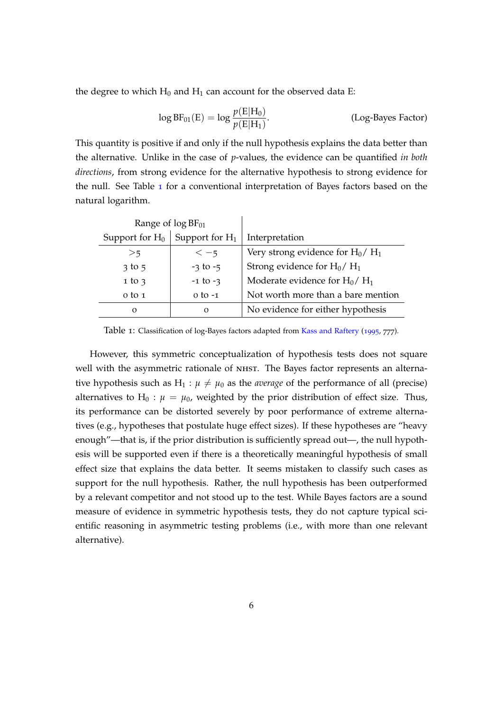the degree to which  $H_0$  and  $H_1$  can account for the observed data E:

$$
\log BF_{01}(E) = \log \frac{p(E|H_0)}{p(E|H_1)}.
$$
 (Log-Bayes Factor)

This quantity is positive if and only if the null hypothesis explains the data better than the alternative. Unlike in the case of *p*-values, the evidence can be quantified *in both directions*, from strong evidence for the alternative hypothesis to strong evidence for the null. See Table  $\bf{1}$  $\bf{1}$  $\bf{1}$  for a conventional interpretation of Bayes factors based on the natural logarithm.

| Range of $log BF_{01}$ |                   |                                    |
|------------------------|-------------------|------------------------------------|
| Support for $H_0$      | Support for $H_1$ | Interpretation                     |
| >5                     | $<-5$             | Very strong evidence for $H_0/H_1$ |
| $3$ to $5$             | $-3$ to $-5$      | Strong evidence for $H_0/H_1$      |
| $1$ to $3$             | $-1$ to $-3$      | Moderate evidence for $H_0/H_1$    |
| $0$ to $1$             | $0$ to $-1$       | Not worth more than a bare mention |
| $\Omega$               | $\Omega$          | No evidence for either hypothesis  |

<span id="page-5-0"></span>Table 1: Classification of log-Bayes factors adapted from [Kass and Raftery](#page-12-14) ([1995](#page-12-14), <sup>777</sup>).

However, this symmetric conceptualization of hypothesis tests does not square well with the asymmetric rationale of NHST. The Bayes factor represents an alternative hypothesis such as  $H_1$ :  $\mu \neq \mu_0$  as the *average* of the performance of all (precise) alternatives to H<sub>0</sub> :  $\mu = \mu_0$ , weighted by the prior distribution of effect size. Thus, its performance can be distorted severely by poor performance of extreme alternatives (e.g., hypotheses that postulate huge effect sizes). If these hypotheses are "heavy enough"—that is, if the prior distribution is sufficiently spread out—, the null hypothesis will be supported even if there is a theoretically meaningful hypothesis of small effect size that explains the data better. It seems mistaken to classify such cases as support for the null hypothesis. Rather, the null hypothesis has been outperformed by a relevant competitor and not stood up to the test. While Bayes factors are a sound measure of evidence in symmetric hypothesis tests, they do not capture typical scientific reasoning in asymmetric testing problems (i.e., with more than one relevant alternative).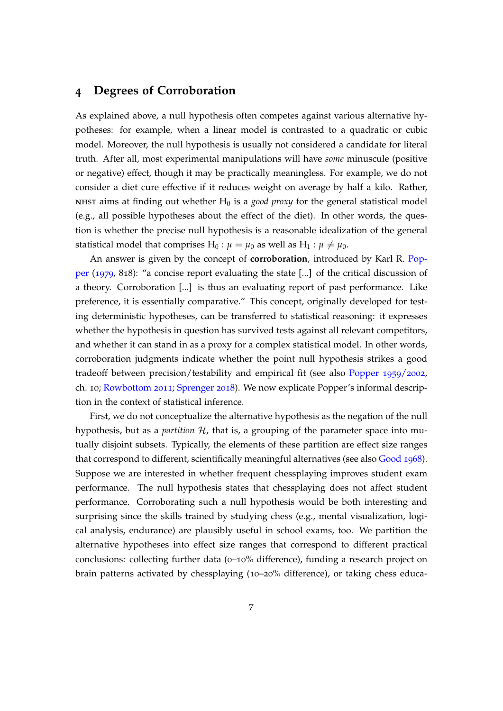### <span id="page-6-0"></span>**4 Degrees of Corroboration**

As explained above, a null hypothesis often competes against various alternative hypotheses: for example, when a linear model is contrasted to a quadratic or cubic model. Moreover, the null hypothesis is usually not considered a candidate for literal truth. After all, most experimental manipulations will have *some* minuscule (positive or negative) effect, though it may be practically meaningless. For example, we do not consider a diet cure effective if it reduces weight on average by half a kilo. Rather, NHST aims at finding out whether  $H_0$  is a *good proxy* for the general statistical model (e.g., all possible hypotheses about the effect of the diet). In other words, the question is whether the precise null hypothesis is a reasonable idealization of the general statistical model that comprises  $H_0$ :  $\mu = \mu_0$  as well as  $H_1$ :  $\mu \neq \mu_0$ .

An answer is given by the concept of **corroboration**, introduced by Karl R. [Pop](#page-13-6)[per](#page-13-6) ([1979](#page-13-6), 818): "a concise report evaluating the state [...] of the critical discussion of a theory. Corroboration [...] is thus an evaluating report of past performance. Like preference, it is essentially comparative." This concept, originally developed for testing deterministic hypotheses, can be transferred to statistical reasoning: it expresses whether the hypothesis in question has survived tests against all relevant competitors, and whether it can stand in as a proxy for a complex statistical model. In other words, corroboration judgments indicate whether the point null hypothesis strikes a good tradeoff between precision/testability and empirical fit (see also [Popper](#page-13-7) [1959](#page-13-7)/2002, ch. 10; [Rowbottom](#page-13-8) [2011](#page-13-8); [Sprenger](#page-13-9) [2018](#page-13-9)). We now explicate Popper's informal description in the context of statistical inference.

First, we do not conceptualize the alternative hypothesis as the negation of the null hypothesis, but as a *partition* H, that is, a grouping of the parameter space into mutually disjoint subsets. Typically, the elements of these partition are effect size ranges that correspond to different, scientifically meaningful alternatives (see also [Good](#page-12-15) [1968](#page-12-15)). Suppose we are interested in whether frequent chessplaying improves student exam performance. The null hypothesis states that chessplaying does not affect student performance. Corroborating such a null hypothesis would be both interesting and surprising since the skills trained by studying chess (e.g., mental visualization, logical analysis, endurance) are plausibly useful in school exams, too. We partition the alternative hypotheses into effect size ranges that correspond to different practical conclusions: collecting further data  $(0-10\%$  difference), funding a research project on brain patterns activated by chessplaying (10–20% difference), or taking chess educa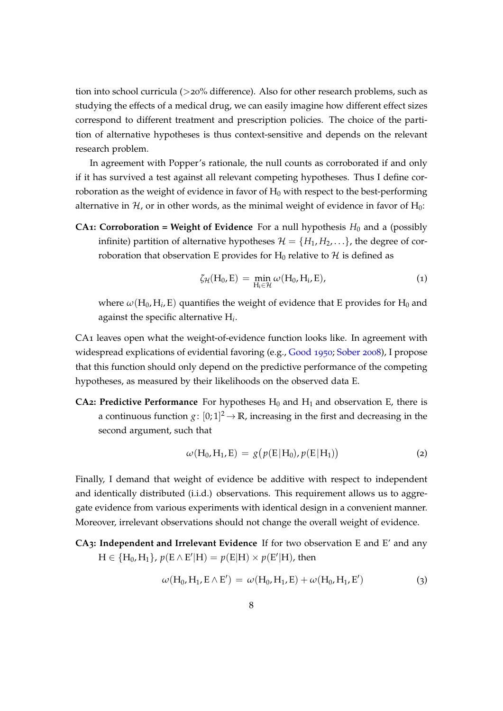tion into school curricula (>20% difference). Also for other research problems, such as studying the effects of a medical drug, we can easily imagine how different effect sizes correspond to different treatment and prescription policies. The choice of the partition of alternative hypotheses is thus context-sensitive and depends on the relevant research problem.

In agreement with Popper's rationale, the null counts as corroborated if and only if it has survived a test against all relevant competing hypotheses. Thus I define corroboration as the weight of evidence in favor of  $H_0$  with respect to the best-performing alternative in  $H$ , or in other words, as the minimal weight of evidence in favor of  $H_0$ :

**CA1: Corroboration = Weight of Evidence** For a null hypothesis  $H_0$  and a (possibly infinite) partition of alternative hypotheses  $\mathcal{H} = \{H_1, H_2, \ldots\}$ , the degree of corroboration that observation E provides for  $H_0$  relative to  $H$  is defined as

$$
\zeta_{\mathcal{H}}(H_0, E) = \min_{H_i \in \mathcal{H}} \omega(H_0, H_i, E), \qquad (1)
$$

where  $\omega(H_0,H_i,E)$  quantifies the weight of evidence that E provides for  $H_0$  and against the specific alternative H*<sup>i</sup>* .

CA1 leaves open what the weight-of-evidence function looks like. In agreement with widespread explications of evidential favoring (e.g., [Good](#page-12-16) [1950](#page-12-16); [Sober](#page-13-10) [2008](#page-13-10)), I propose that this function should only depend on the predictive performance of the competing hypotheses, as measured by their likelihoods on the observed data E.

**CA2: Predictive Performance** For hypotheses  $H_0$  and  $H_1$  and observation E, there is a continuous function  $g: [0;1]^2 \to \mathbb{R}$ , increasing in the first and decreasing in the second argument, such that

$$
\omega(H_0, H_1, E) = g(p(E|H_0), p(E|H_1))
$$
\n(2)

Finally, I demand that weight of evidence be additive with respect to independent and identically distributed (i.i.d.) observations. This requirement allows us to aggregate evidence from various experiments with identical design in a convenient manner. Moreover, irrelevant observations should not change the overall weight of evidence.

**CA3: Independent and Irrelevant Evidence** If for two observation E and E' and any  $H \in \{H_0, H_1\}$ ,  $p(E \wedge E' | H) = p(E | H) \times p(E' | H)$ , then

<span id="page-7-0"></span>
$$
\omega(H_0, H_1, E \wedge E') = \omega(H_0, H_1, E) + \omega(H_0, H_1, E')
$$
\n(3)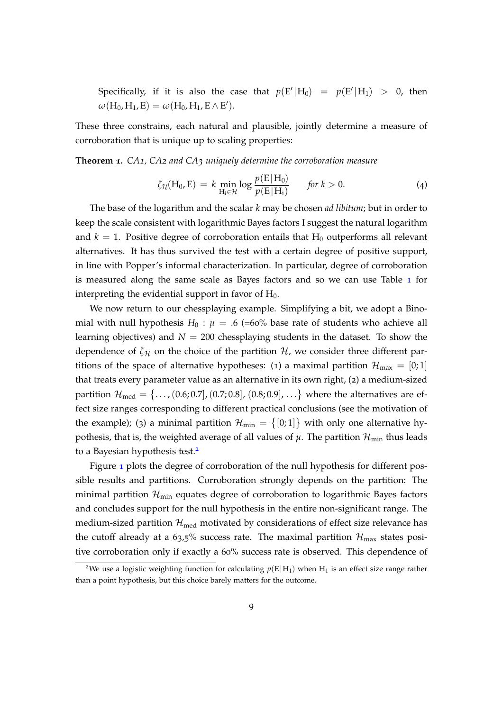Specifically, if it is also the case that  $p(E'|H_0) = p(E'|H_1) > 0$ , then  $\omega(H_0, H_1, E) = \omega(H_0, H_1, E \wedge E').$ 

These three constrains, each natural and plausible, jointly determine a measure of corroboration that is unique up to scaling properties:

**Theorem 1.** *CA1, CA2 and CA3 uniquely determine the corroboration measure*

<span id="page-8-1"></span>
$$
\zeta_{\mathcal{H}}(H_0, E) = k \min_{H_i \in \mathcal{H}} \log \frac{p(E|H_0)}{p(E|H_i)} \quad \text{for } k > 0. \tag{4}
$$

The base of the logarithm and the scalar *k* may be chosen *ad libitum*; but in order to keep the scale consistent with logarithmic Bayes factors I suggest the natural logarithm and  $k = 1$ . Positive degree of corroboration entails that  $H_0$  outperforms all relevant alternatives. It has thus survived the test with a certain degree of positive support, in line with Popper's informal characterization. In particular, degree of corroboration is measured along the same scale as Bayes factors and so we can use Table [1](#page-5-0) for interpreting the evidential support in favor of  $H_0$ .

We now return to our chessplaying example. Simplifying a bit, we adopt a Binomial with null hypothesis  $H_0$ :  $\mu = .6$  (=60% base rate of students who achieve all learning objectives) and  $N = 200$  chessplaying students in the dataset. To show the dependence of  $\zeta_H$  on the choice of the partition  $\mathcal{H}$ , we consider three different partitions of the space of alternative hypotheses: (1) a maximal partition  $\mathcal{H}_{\text{max}} = [0,1]$ that treats every parameter value as an alternative in its own right, (2) a medium-sized partition  ${\cal H}_{\rm med} = \{ \ldots$  ,  $(0.6; 0.7]$  ,  $(0.7; 0.8]$  ,  $(0.8; 0.9]$  ,  $\ldots \}$  where the alternatives are effect size ranges corresponding to different practical conclusions (see the motivation of the example); (3) a minimal partition  $\mathcal{H}_{min} = \{ [0;1] \}$  with only one alternative hypothesis, that is, the weighted average of all values of  $\mu$ . The partition  $\mathcal{H}_{min}$  thus leads to a Bayesian hypothesis test.<sup>[2](#page-8-0)</sup>

Figure [1](#page-9-1) plots the degree of corroboration of the null hypothesis for different possible results and partitions. Corroboration strongly depends on the partition: The minimal partition  $\mathcal{H}_{\text{min}}$  equates degree of corroboration to logarithmic Bayes factors and concludes support for the null hypothesis in the entire non-significant range. The medium-sized partition  $\mathcal{H}_{\text{med}}$  motivated by considerations of effect size relevance has the cutoff already at a 63,5% success rate. The maximal partition  $\mathcal{H}_{\text{max}}$  states positive corroboration only if exactly a 60% success rate is observed. This dependence of

<span id="page-8-0"></span><sup>&</sup>lt;sup>2</sup>We use a logistic weighting function for calculating  $p(E|H_1)$  when  $H_1$  is an effect size range rather than a point hypothesis, but this choice barely matters for the outcome.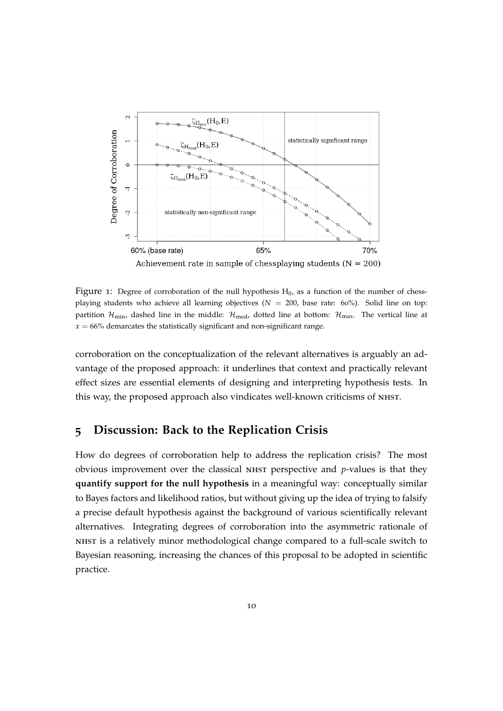

<span id="page-9-1"></span>Achievement rate in sample of chessplaying students ( $N = 200$ )

Figure 1: Degree of corroboration of the null hypothesis  $H_0$ , as a function of the number of chessplaying students who achieve all learning objectives ( $N = 200$ , base rate: 60%). Solid line on top: partition  $\mathcal{H}_{\text{min}}$ , dashed line in the middle:  $\mathcal{H}_{\text{med}}$ , dotted line at bottom:  $\mathcal{H}_{\text{max}}$ . The vertical line at  $x = 66\%$  demarcates the statistically significant and non-significant range.

corroboration on the conceptualization of the relevant alternatives is arguably an advantage of the proposed approach: it underlines that context and practically relevant effect sizes are essential elements of designing and interpreting hypothesis tests. In this way, the proposed approach also vindicates well-known criticisms of nhst.

### <span id="page-9-0"></span>**5 Discussion: Back to the Replication Crisis**

How do degrees of corroboration help to address the replication crisis? The most obvious improvement over the classical nhst perspective and *p*-values is that they **quantify support for the null hypothesis** in a meaningful way: conceptually similar to Bayes factors and likelihood ratios, but without giving up the idea of trying to falsify a precise default hypothesis against the background of various scientifically relevant alternatives. Integrating degrees of corroboration into the asymmetric rationale of nhst is a relatively minor methodological change compared to a full-scale switch to Bayesian reasoning, increasing the chances of this proposal to be adopted in scientific practice.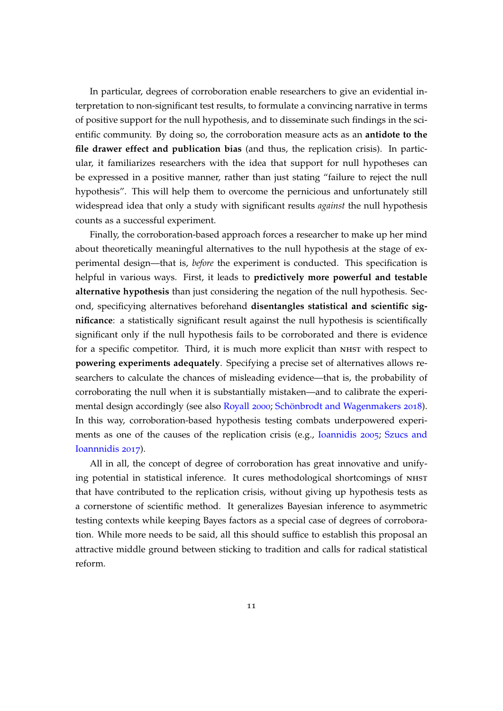In particular, degrees of corroboration enable researchers to give an evidential interpretation to non-significant test results, to formulate a convincing narrative in terms of positive support for the null hypothesis, and to disseminate such findings in the scientific community. By doing so, the corroboration measure acts as an **antidote to the file drawer effect and publication bias** (and thus, the replication crisis). In particular, it familiarizes researchers with the idea that support for null hypotheses can be expressed in a positive manner, rather than just stating "failure to reject the null hypothesis". This will help them to overcome the pernicious and unfortunately still widespread idea that only a study with significant results *against* the null hypothesis counts as a successful experiment.

Finally, the corroboration-based approach forces a researcher to make up her mind about theoretically meaningful alternatives to the null hypothesis at the stage of experimental design—that is, *before* the experiment is conducted. This specification is helpful in various ways. First, it leads to **predictively more powerful and testable alternative hypothesis** than just considering the negation of the null hypothesis. Second, specificying alternatives beforehand **disentangles statistical and scientific significance**: a statistically significant result against the null hypothesis is scientifically significant only if the null hypothesis fails to be corroborated and there is evidence for a specific competitor. Third, it is much more explicit than NHST with respect to **powering experiments adequately**. Specifying a precise set of alternatives allows researchers to calculate the chances of misleading evidence—that is, the probability of corroborating the null when it is substantially mistaken—and to calibrate the experimental design accordingly (see also [Royall](#page-13-11) [2000](#page-13-11); [Schönbrodt and Wagenmakers](#page-13-12) [2018](#page-13-12)). In this way, corroboration-based hypothesis testing combats underpowered experiments as one of the causes of the replication crisis (e.g., [Ioannidis](#page-12-5) [2005](#page-12-5); [Szucs and](#page-13-13) [Ioannnidis](#page-13-13) [2017](#page-13-13)).

All in all, the concept of degree of corroboration has great innovative and unifying potential in statistical inference. It cures methodological shortcomings of NHST that have contributed to the replication crisis, without giving up hypothesis tests as a cornerstone of scientific method. It generalizes Bayesian inference to asymmetric testing contexts while keeping Bayes factors as a special case of degrees of corroboration. While more needs to be said, all this should suffice to establish this proposal an attractive middle ground between sticking to tradition and calls for radical statistical reform.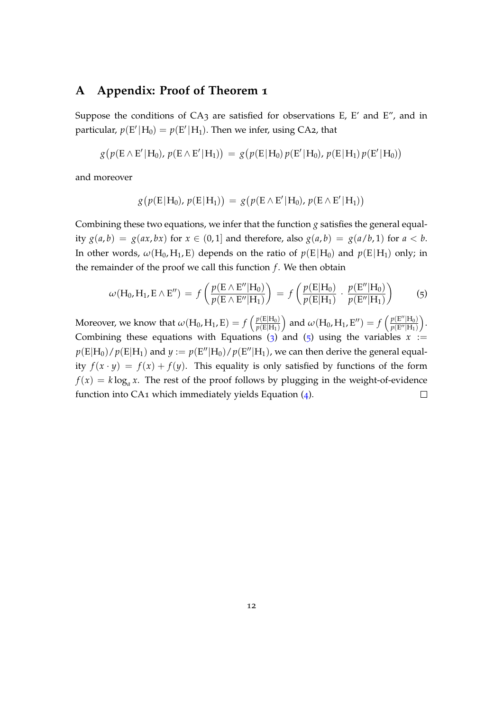### **A Appendix: Proof of Theorem 1**

Suppose the conditions of  $CA_3$  are satisfied for observations E, E' and E'', and in particular,  $p(E' | H_0) = p(E' | H_1)$ . Then we infer, using CA2, that

$$
g(p(E \wedge E'|H_0), p(E \wedge E'|H_1)) = g(p(E|H_0) p(E'|H_0), p(E|H_1) p(E'|H_0))
$$

and moreover

$$
g(p(E|H_0), p(E|H_1)) = g(p(E \wedge E'|H_0), p(E \wedge E'|H_1))
$$

Combining these two equations, we infer that the function *g* satisfies the general equality  $g(a, b) = g(ax, bx)$  for  $x \in (0, 1]$  and therefore, also  $g(a, b) = g(a/b, 1)$  for  $a < b$ . In other words,  $\omega(H_0, H_1, E)$  depends on the ratio of  $p(E|H_0)$  and  $p(E|H_1)$  only; in the remainder of the proof we call this function *f* . We then obtain

<span id="page-11-0"></span>
$$
\omega(H_0, H_1, E \wedge E'') = f\left(\frac{p(E \wedge E''|H_0)}{p(E \wedge E''|H_1)}\right) = f\left(\frac{p(E|H_0)}{p(E|H_1)} \cdot \frac{p(E''|H_0)}{p(E''|H_1)}\right) \tag{5}
$$

and  $\omega(H_0, H_1, E'') = f\left(\frac{p(E'')H_0}{p(E'')H_1}\right)$ Moreover, we know that  $\omega(H_0, H_1, E) = f\left(\frac{p(E|H_0)}{p(E|H_1)}\right)$  .  $p(E''|H_1)$  $p(E|H_1)$ Combining these equations with Equations ([3](#page-7-0)) and ([5](#page-11-0)) using the variables  $x :=$  $p(E|H_0)/p(E|H_1)$  and  $y := p(E''|H_0)/p(E''|H_1)$ , we can then derive the general equality  $f(x \cdot y) = f(x) + f(y)$ . This equality is only satisfied by functions of the form  $f(x) = k \log_a x$ . The rest of the proof follows by plugging in the weight-of-evidence function into  $CA_1$  which immediately yields Equation  $(4)$  $(4)$  $(4)$ .  $\Box$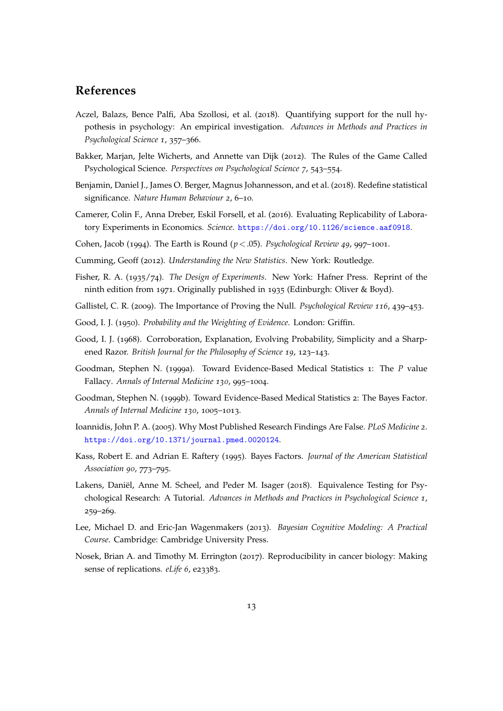### **References**

- <span id="page-12-12"></span>Aczel, Balazs, Bence Palfi, Aba Szollosi, et al. (2018). Quantifying support for the null hypothesis in psychology: An empirical investigation. *Advances in Methods and Practices in Psychological Science 1*, 357–366.
- <span id="page-12-2"></span>Bakker, Marjan, Jelte Wicherts, and Annette van Dijk (2012). The Rules of the Game Called Psychological Science. *Perspectives on Psychological Science 7*, 543–554.
- <span id="page-12-6"></span>Benjamin, Daniel J., James O. Berger, Magnus Johannesson, and et al. (2018). Redefine statistical significance. *Nature Human Behaviour 2*, 6–10.
- <span id="page-12-0"></span>Camerer, Colin F., Anna Dreber, Eskil Forsell, et al. (2016). Evaluating Replicability of Laboratory Experiments in Economics. *Science*. <https://doi.org/10.1126/science.aaf0918>.
- <span id="page-12-3"></span>Cohen, Jacob (1994). The Earth is Round (*p*<.05). *Psychological Review 49*, 997–1001.
- <span id="page-12-9"></span>Cumming, Geoff (2012). *Understanding the New Statistics*. New York: Routledge.
- <span id="page-12-10"></span>Fisher, R. A. (1935/74). *The Design of Experiments*. New York: Hafner Press. Reprint of the ninth edition from 1971. Originally published in 1935 (Edinburgh: Oliver & Boyd).
- <span id="page-12-11"></span>Gallistel, C. R. (2009). The Importance of Proving the Null. *Psychological Review 116*, 439–453.
- <span id="page-12-16"></span>Good, I. J. (1950). *Probability and the Weighting of Evidence*. London: Griffin.
- <span id="page-12-15"></span>Good, I. J. (1968). Corroboration, Explanation, Evolving Probability, Simplicity and a Sharpened Razor. *British Journal for the Philosophy of Science 19*, 123–143.
- <span id="page-12-4"></span>Goodman, Stephen N. (1999a). Toward Evidence-Based Medical Statistics 1: The *P* value Fallacy. *Annals of Internal Medicine 130*, 995–1004.
- <span id="page-12-7"></span>Goodman, Stephen N. (1999b). Toward Evidence-Based Medical Statistics 2: The Bayes Factor. *Annals of Internal Medicine 130*, 1005–1013.
- <span id="page-12-5"></span>Ioannidis, John P. A. (2005). Why Most Published Research Findings Are False. *PLoS Medicine 2*. <https://doi.org/10.1371/journal.pmed.0020124>.
- <span id="page-12-14"></span>Kass, Robert E. and Adrian E. Raftery (1995). Bayes Factors. *Journal of the American Statistical Association 90*, 773–795.
- <span id="page-12-13"></span>Lakens, Daniël, Anne M. Scheel, and Peder M. Isager (2018). Equivalence Testing for Psychological Research: A Tutorial. *Advances in Methods and Practices in Psychological Science 1*, 259–269.
- <span id="page-12-8"></span>Lee, Michael D. and Eric-Jan Wagenmakers (2013). *Bayesian Cognitive Modeling: A Practical Course*. Cambridge: Cambridge University Press.
- <span id="page-12-1"></span>Nosek, Brian A. and Timothy M. Errington (2017). Reproducibility in cancer biology: Making sense of replications. *eLife* 6, e23383.